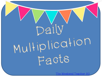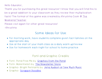Hello Educator,

Thank you for purchasing this great resource! I know that you will find this to be a great addition to your classroom as they review their multiplication facts! The format of this game was created by Khrystina Cook @ [The](https://www.teacherspayteachers.com/Store/The-Weekend-Teacher)  [Weekend Teacher.](https://www.teacherspayteachers.com/Store/The-Weekend-Teacher)

Please visit again for other great resources!

-Khrystina

## Some Ideas for Use:

- For morning work, have students complete given fact families on the appropriate day
- Use at the start of your math class as a daily warm up/review
- Use for homework each night for school to home practice

## Font and Graphic Credits:

- . Font- Pond Free Me by: [Graphics from the Pond](https://www.teacherspayteachers.com/Store/Graphics-From-The-Pond)
- Font- Watermelon by: [The Newsletter Store](https://www.teacherspayteachers.com/Store/The-Newsletter-Store)
- Graphic- Bright Pennants by: <u>Jena Hudson at Sew Much Music</u>
- Graphic- [Scrappin Doodles](https://www.scrappindoodles.ca/)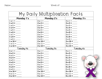Name:\_\_\_\_\_\_\_\_\_\_\_\_\_\_\_\_\_\_\_\_\_\_\_\_\_\_\_\_\_ Week of: \_\_\_\_\_\_\_\_\_\_\_\_\_\_\_\_\_\_\_\_\_\_\_\_\_\_\_\_\_\_

| My Daily Multiplication Facts |                 |                   |
|-------------------------------|-----------------|-------------------|
| <b>Monday 1's</b>             | Monday 2's      | <b>Monday 3's</b> |
| $1 \times 1 =$                |                 |                   |
| $1 \times 2 =$                | $2 \times 2 =$  | $3 \times 2 =$    |
|                               |                 |                   |
|                               |                 |                   |
|                               |                 |                   |
| $1 \times 6 =$                |                 | $3 \times 6 =$    |
|                               |                 |                   |
| $1 \times 8 =$                |                 | $3 \times 8 =$    |
| $1 \times 9 =$                |                 |                   |
| $1 \times 10 =$               | $2 \times 10 =$ | $3 \times 10 =$   |
|                               |                 |                   |
|                               |                 | $3 \times 12 =$   |
| Tuesday 4's                   | Tuesday 5's     | Tuesday 6's       |
|                               |                 |                   |
|                               |                 | $6 \times 2 =$    |
|                               |                 | $6 \times 3 =$    |
| $4 \times 4 =$                |                 |                   |
|                               |                 |                   |
|                               |                 | $6 \times 6 =$    |
|                               |                 |                   |
| $4 \times 8 =$                |                 |                   |
|                               |                 |                   |
|                               |                 | $6 \times 10 =$   |
|                               |                 |                   |
|                               | $5 \times 12 =$ | $6 \times 12 =$   |